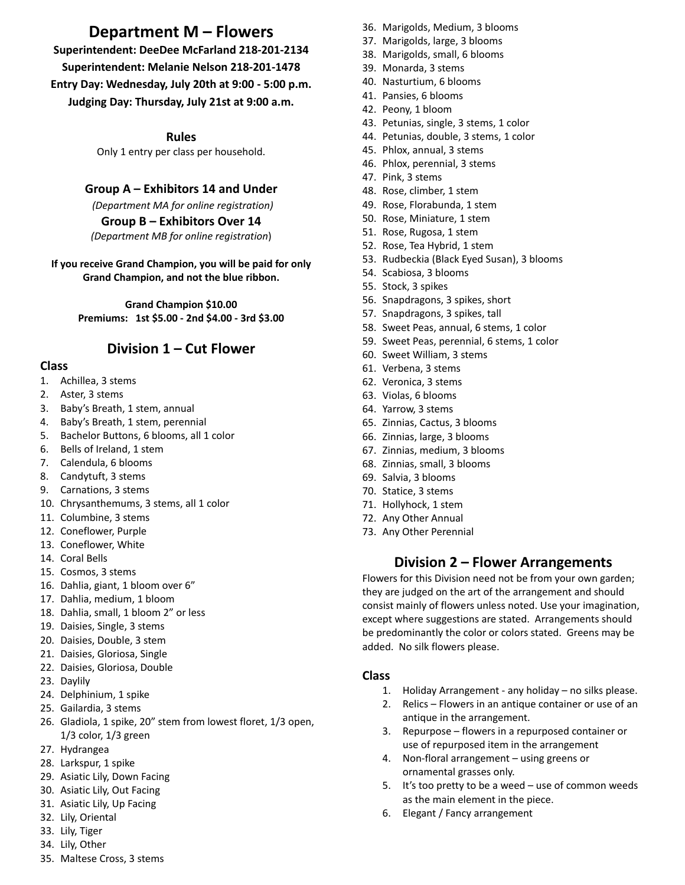# **Department M – Flowers**

**Superintendent: DeeDee McFarland 218-201-2134 Superintendent: Melanie Nelson 218-201-1478 Entry Day: Wednesday, July 20th at 9:00 - 5:00 p.m. Judging Day: Thursday, July 21st at 9:00 a.m.**

**Rules**

Only 1 entry per class per household.

### **Group A – Exhibitors 14 and Under**

*(Department MA for online registration)* **Group B – Exhibitors Over 14** *(Department MB for online registration*)

#### **If you receive Grand Champion, you will be paid for only Grand Champion, and not the blue ribbon.**

**Grand Champion \$10.00 Premiums: 1st \$5.00 - 2nd \$4.00 - 3rd \$3.00**

## **Division 1 – Cut Flower**

#### **Class**

- 1. Achillea, 3 stems
- 2. Aster, 3 stems
- 3. Baby's Breath, 1 stem, annual
- 4. Baby's Breath, 1 stem, perennial
- 5. Bachelor Buttons, 6 blooms, all 1 color
- 6. Bells of Ireland, 1 stem
- 7. Calendula, 6 blooms
- 8. Candytuft, 3 stems
- 9. Carnations, 3 stems
- 10. Chrysanthemums, 3 stems, all 1 color
- 11. Columbine, 3 stems
- 12. Coneflower, Purple
- 13. Coneflower, White
- 14. Coral Bells
- 15. Cosmos, 3 stems
- 16. Dahlia, giant, 1 bloom over 6"
- 17. Dahlia, medium, 1 bloom
- 18. Dahlia, small, 1 bloom 2" or less
- 19. Daisies, Single, 3 stems
- 20. Daisies, Double, 3 stem
- 21. Daisies, Gloriosa, Single
- 22. Daisies, Gloriosa, Double
- 23. Daylily
- 24. Delphinium, 1 spike
- 25. Gailardia, 3 stems
- 26. Gladiola, 1 spike, 20" stem from lowest floret, 1/3 open, 1/3 color, 1/3 green
- 27. Hydrangea
- 28. Larkspur, 1 spike
- 29. Asiatic Lily, Down Facing
- 30. Asiatic Lily, Out Facing
- 31. Asiatic Lily, Up Facing
- 32. Lily, Oriental
- 33. Lily, Tiger
- 34. Lily, Other
- 35. Maltese Cross, 3 stems
- 36. Marigolds, Medium, 3 blooms
- 37. Marigolds, large, 3 blooms
- 38. Marigolds, small, 6 blooms
- 39. Monarda, 3 stems
- 40. Nasturtium, 6 blooms
- 41. Pansies, 6 blooms
- 42. Peony, 1 bloom
- 43. Petunias, single, 3 stems, 1 color
- 44. Petunias, double, 3 stems, 1 color
- 45. Phlox, annual, 3 stems
- 46. Phlox, perennial, 3 stems
- 47. Pink, 3 stems
- 48. Rose, climber, 1 stem
- 49. Rose, Florabunda, 1 stem
- 50. Rose, Miniature, 1 stem
- 51. Rose, Rugosa, 1 stem
- 52. Rose, Tea Hybrid, 1 stem
- 53. Rudbeckia (Black Eyed Susan), 3 blooms
- 54. Scabiosa, 3 blooms
- 55. Stock, 3 spikes
- 56. Snapdragons, 3 spikes, short
- 57. Snapdragons, 3 spikes, tall
- 58. Sweet Peas, annual, 6 stems, 1 color
- 59. Sweet Peas, perennial, 6 stems, 1 color
- 60. Sweet William, 3 stems
- 61. Verbena, 3 stems
- 62. Veronica, 3 stems
- 63. Violas, 6 blooms
- 64. Yarrow, 3 stems
- 65. Zinnias, Cactus, 3 blooms
- 66. Zinnias, large, 3 blooms
- 67. Zinnias, medium, 3 blooms
- 68. Zinnias, small, 3 blooms
- 69. Salvia, 3 blooms
- 70. Statice, 3 stems
- 71. Hollyhock, 1 stem
- 72. Any Other Annual
- 73. Any Other Perennial

## **Division 2 – Flower Arrangements**

Flowers for this Division need not be from your own garden; they are judged on the art of the arrangement and should consist mainly of flowers unless noted. Use your imagination, except where suggestions are stated. Arrangements should be predominantly the color or colors stated. Greens may be added. No silk flowers please.

#### **Class**

- 1. Holiday Arrangement any holiday no silks please.
- 2. Relics Flowers in an antique container or use of an antique in the arrangement.
- 3. Repurpose flowers in a repurposed container or use of repurposed item in the arrangement
- 4. Non-floral arrangement using greens or ornamental grasses only.
- 5. It's too pretty to be a weed use of common weeds as the main element in the piece.
- 6. Elegant / Fancy arrangement